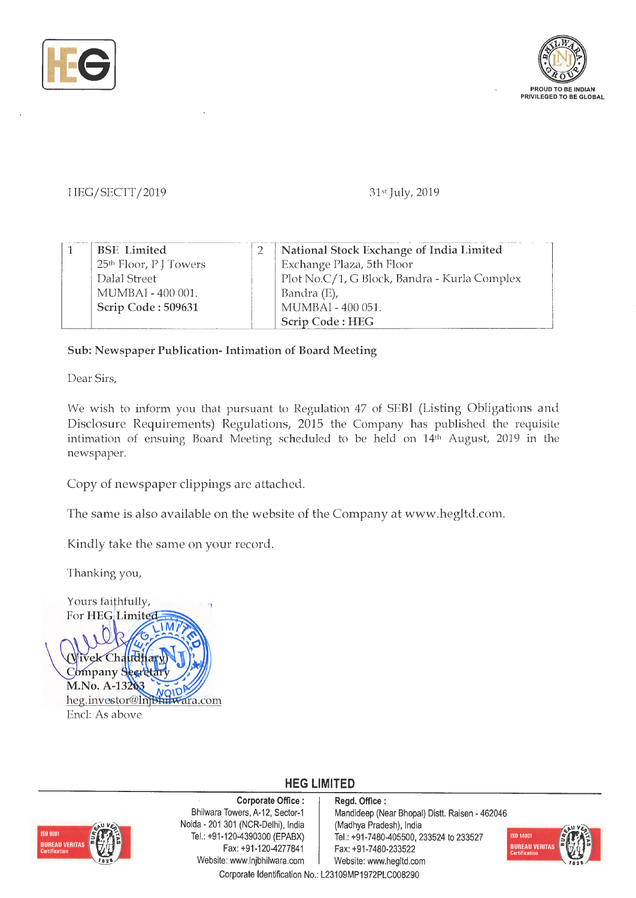



## I-IEG/SECTT/2019 31st July, 2019

| <b>BSE</b> Limited                 | National Stock Exchange of India Limited     |  |
|------------------------------------|----------------------------------------------|--|
| 25 <sup>th</sup> Floor, P J Towers | Exchange Plaza, 5th Floor                    |  |
| Dalal Street                       | Plot No.C/1, G Block, Bandra - Kurla Complex |  |
| MUMBAI - 400 001.                  | Bandra (E),                                  |  |
| Scrip Code: 509631                 | MUMBAI - 400 051.                            |  |
|                                    | Scrip Code: HEG                              |  |

## **Sub: Newspaper Publication- Intimation of Board Meeting**

Dear Sirs,

We wish to inform you that pursuant to Regulation 47 of SEBI (Listing Obligations and Disclosure Requirements) Regulations, 2015 the Company has published the requisite intimation of ensuing Board Meeting scheduled to be held on 14<sup>th</sup> August, 2019 in the newspaper.

Copy of newspaper clippings are attached.

The same is also available on the website of the Company at www.hegltd.com.

Kindly take the same on your record.

Thanking you,



**SO 9001** BUREAU VERITA

**Corporate Office** : Bhilwara Towers, A-12, Sector-1 Naida - 201 301 (NCR-Delhi), India Tel.: +91-120-4390300 (EPABX) Fax: +91 -120-4277841 Website: www.lnjbhilwara.com | Website: www.hegltd.com

**Regd. Office** : Mandideep (Near Bhopal} Distt. Raisen - 462046 (Madhya Pradesh}, India Tel.: +91-7480-405500, 233524 to 233527 Fax: +91-7480-233522



**HEG LIMITED**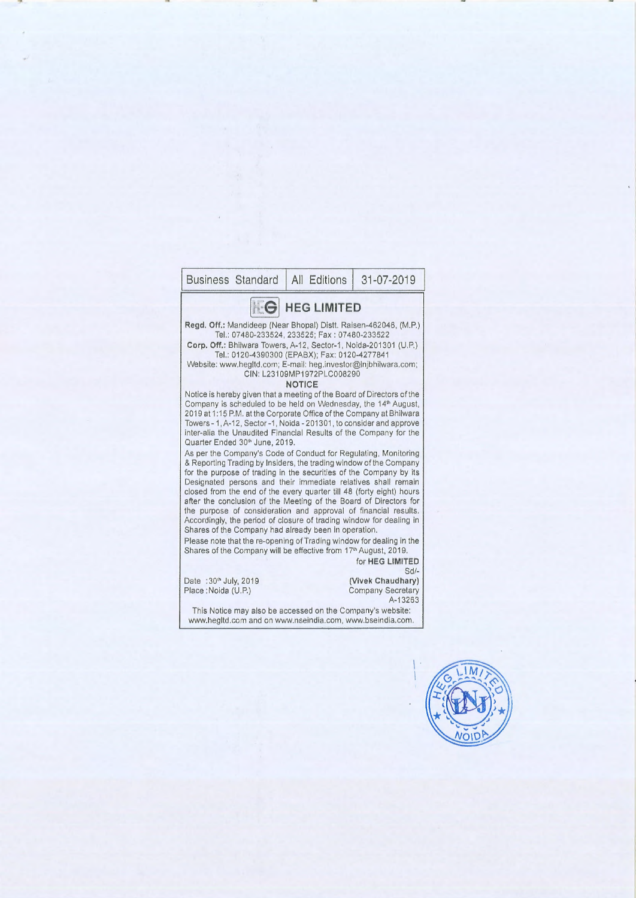